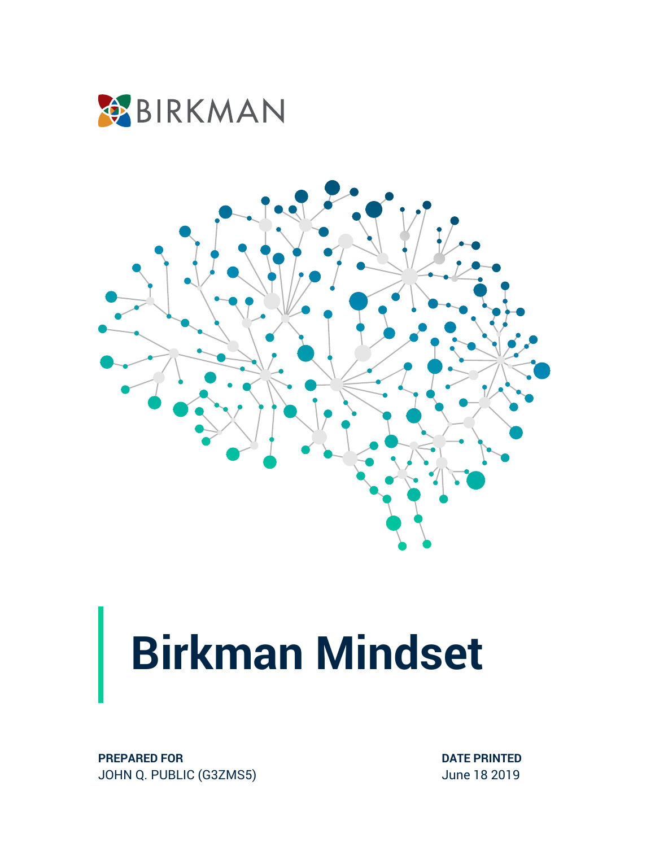



**PREPARED FOR** JOHN Q. PUBLIC (G3ZMS5) **DATE PRINTED** June 18 2019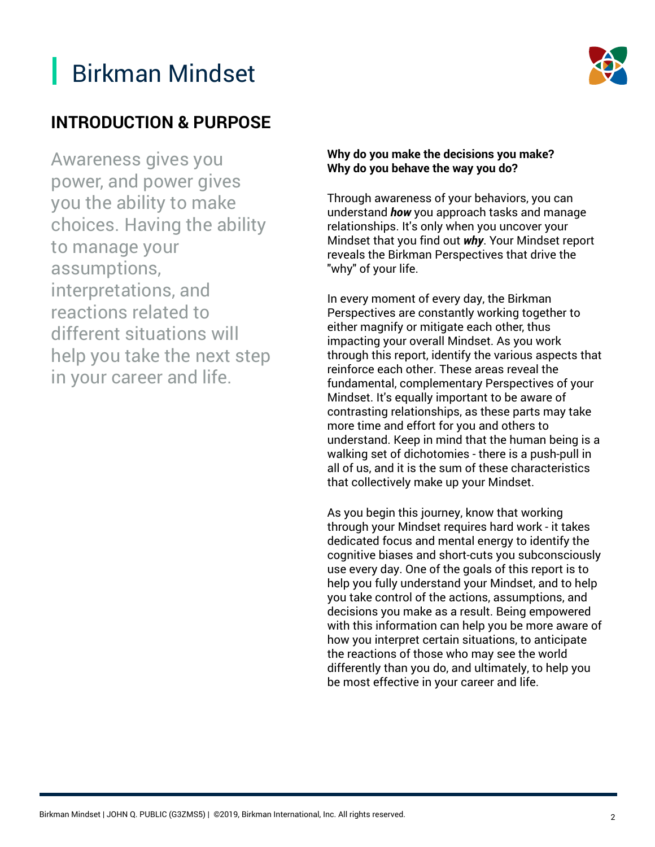

#### **INTRODUCTION & PURPOSE**

Awareness gives you power, and power gives you the ability to make choices. Having the ability to manage your assumptions, interpretations, and reactions related to different situations will help you take the next step in your career and life.

#### **Why do you make the decisions you make? Why do you behave the way you do?**

Through awareness of your behaviors, you can understand *how* you approach tasks and manage relationships. It's only when you uncover your Mindset that you find out *why*. Your Mindset report reveals the Birkman Perspectives that drive the "why" of your life.

In every moment of every day, the Birkman Perspectives are constantly working together to either magnify or mitigate each other, thus impacting your overall Mindset. As you work through this report, identify the various aspects that reinforce each other. These areas reveal the fundamental, complementary Perspectives of your Mindset. It's equally important to be aware of contrasting relationships, as these parts may take more time and effort for you and others to understand. Keep in mind that the human being is a walking set of dichotomies - there is a push-pull in all of us, and it is the sum of these characteristics that collectively make up your Mindset.

As you begin this journey, know that working through your Mindset requires hard work - it takes dedicated focus and mental energy to identify the cognitive biases and short-cuts you subconsciously use every day. One of the goals of this report is to help you fully understand your Mindset, and to help you take control of the actions, assumptions, and decisions you make as a result. Being empowered with this information can help you be more aware of how you interpret certain situations, to anticipate the reactions of those who may see the world differently than you do, and ultimately, to help you be most effective in your career and life.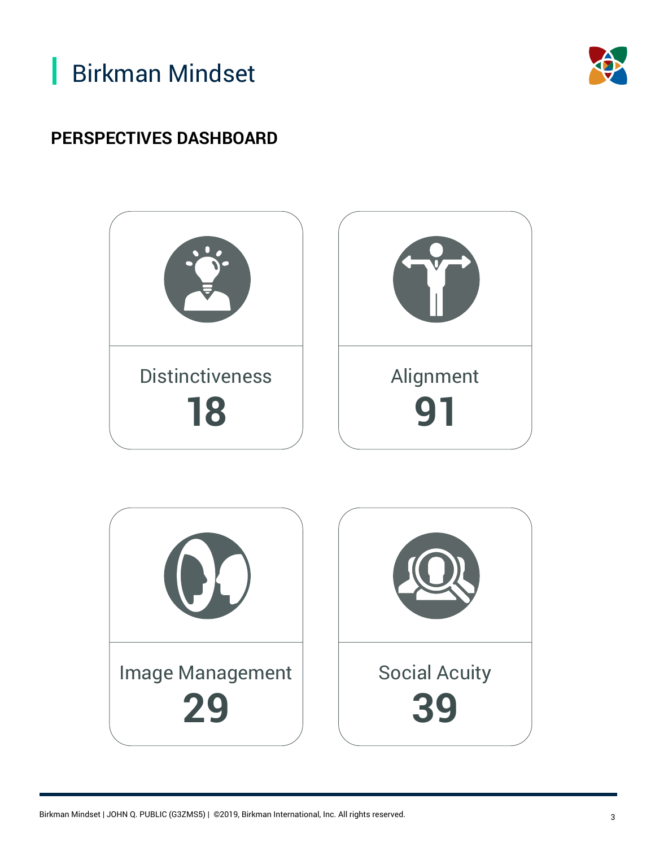



#### **PERSPECTIVES DASHBOARD**

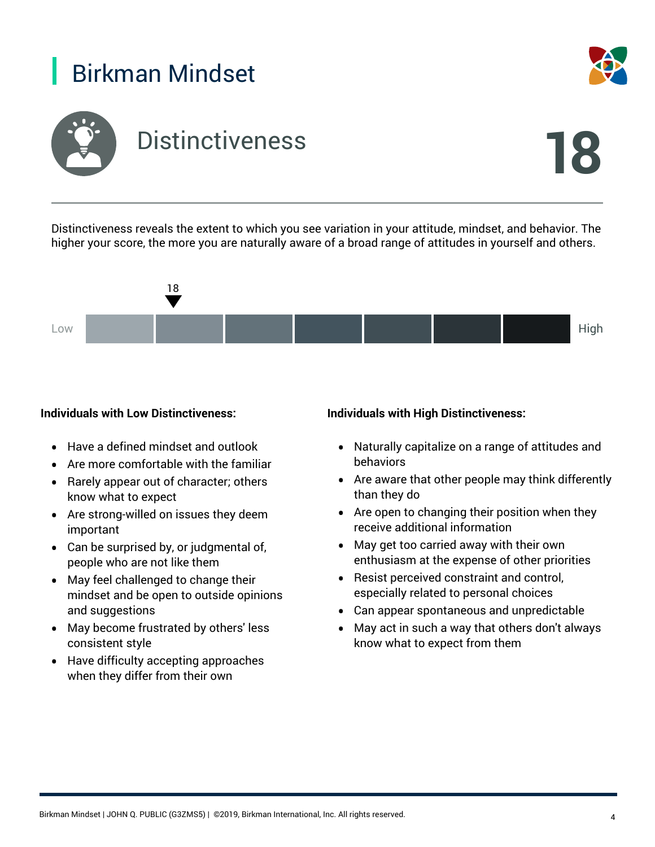



Distinctiveness reveals the extent to which you see variation in your attitude, mindset, and behavior. The higher your score, the more you are naturally aware of a broad range of attitudes in yourself and others.



#### **Individuals with Low Distinctiveness:**

- Have a defined mindset and outlook
- Are more comfortable with the familiar
- Rarely appear out of character; others know what to expect
- Are strong-willed on issues they deem important
- Can be surprised by, or judgmental of, people who are not like them
- May feel challenged to change their mindset and be open to outside opinions and suggestions
- May become frustrated by others' less consistent style
- Have difficulty accepting approaches when they differ from their own

#### **Individuals with High Distinctiveness:**

- Naturally capitalize on a range of attitudes and behaviors
- Are aware that other people may think differently than they do
- Are open to changing their position when they receive additional information
- May get too carried away with their own enthusiasm at the expense of other priorities
- Resist perceived constraint and control, especially related to personal choices
- Can appear spontaneous and unpredictable
- May act in such a way that others don't always know what to expect from them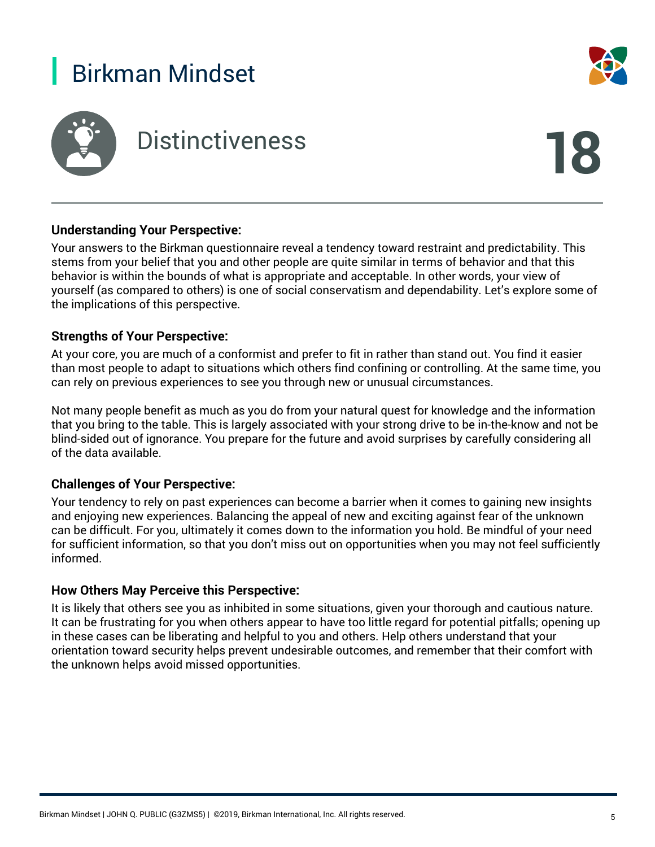

# Distinctiveness **18**



#### **Understanding Your Perspective:**

Your answers to the Birkman questionnaire reveal a tendency toward restraint and predictability. This stems from your belief that you and other people are quite similar in terms of behavior and that this behavior is within the bounds of what is appropriate and acceptable. In other words, your view of yourself (as compared to others) is one of social conservatism and dependability. Let's explore some of the implications of this perspective.

#### **Strengths of Your Perspective:**

At your core, you are much of a conformist and prefer to fit in rather than stand out. You find it easier than most people to adapt to situations which others find confining or controlling. At the same time, you can rely on previous experiences to see you through new or unusual circumstances.

Not many people benefit as much as you do from your natural quest for knowledge and the information that you bring to the table. This is largely associated with your strong drive to be in-the-know and not be blind-sided out of ignorance. You prepare for the future and avoid surprises by carefully considering all of the data available.

#### **Challenges of Your Perspective:**

Your tendency to rely on past experiences can become a barrier when it comes to gaining new insights and enjoying new experiences. Balancing the appeal of new and exciting against fear of the unknown can be difficult. For you, ultimately it comes down to the information you hold. Be mindful of your need for sufficient information, so that you don't miss out on opportunities when you may not feel sufficiently informed.

#### **How Others May Perceive this Perspective:**

It is likely that others see you as inhibited in some situations, given your thorough and cautious nature. It can be frustrating for you when others appear to have too little regard for potential pitfalls; opening up in these cases can be liberating and helpful to you and others. Help others understand that your orientation toward security helps prevent undesirable outcomes, and remember that their comfort with the unknown helps avoid missed opportunities.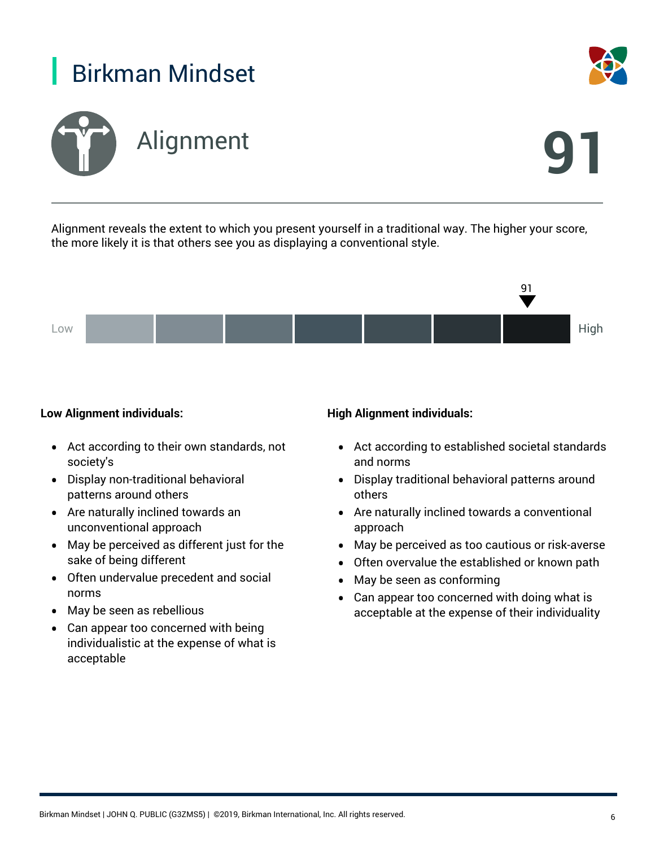

Alignment reveals the extent to which you present yourself in a traditional way. The higher your score, the more likely it is that others see you as displaying a conventional style.



#### **Low Alignment individuals:**

- Act according to their own standards, not society's
- Display non-traditional behavioral patterns around others
- Are naturally inclined towards an unconventional approach
- May be perceived as different just for the sake of being different
- Often undervalue precedent and social norms
- May be seen as rebellious
- Can appear too concerned with being individualistic at the expense of what is acceptable

#### **High Alignment individuals:**

- Act according to established societal standards and norms
- Display traditional behavioral patterns around others
- Are naturally inclined towards a conventional approach
- May be perceived as too cautious or risk-averse
- Often overvalue the established or known path
- May be seen as conforming
- Can appear too concerned with doing what is acceptable at the expense of their individuality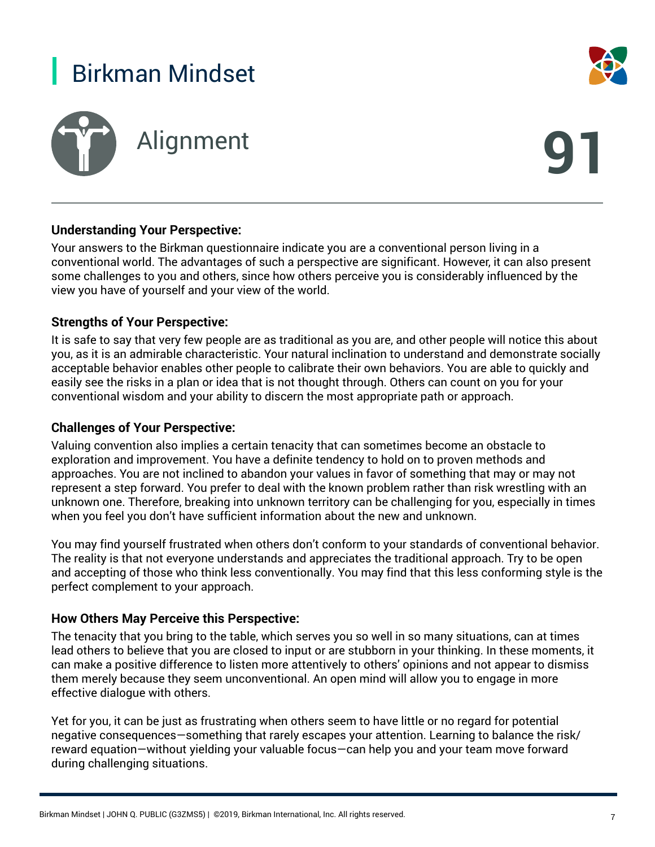

# Alignment **91**



#### **Understanding Your Perspective:**

Your answers to the Birkman questionnaire indicate you are a conventional person living in a conventional world. The advantages of such a perspective are significant. However, it can also present some challenges to you and others, since how others perceive you is considerably influenced by the view you have of yourself and your view of the world.

#### **Strengths of Your Perspective:**

It is safe to say that very few people are as traditional as you are, and other people will notice this about you, as it is an admirable characteristic. Your natural inclination to understand and demonstrate socially acceptable behavior enables other people to calibrate their own behaviors. You are able to quickly and easily see the risks in a plan or idea that is not thought through. Others can count on you for your conventional wisdom and your ability to discern the most appropriate path or approach.

#### **Challenges of Your Perspective:**

Valuing convention also implies a certain tenacity that can sometimes become an obstacle to exploration and improvement. You have a definite tendency to hold on to proven methods and approaches. You are not inclined to abandon your values in favor of something that may or may not represent a step forward. You prefer to deal with the known problem rather than risk wrestling with an unknown one. Therefore, breaking into unknown territory can be challenging for you, especially in times when you feel you don't have sufficient information about the new and unknown.

You may find yourself frustrated when others don't conform to your standards of conventional behavior. The reality is that not everyone understands and appreciates the traditional approach. Try to be open and accepting of those who think less conventionally. You may find that this less conforming style is the perfect complement to your approach.

#### **How Others May Perceive this Perspective:**

The tenacity that you bring to the table, which serves you so well in so many situations, can at times lead others to believe that you are closed to input or are stubborn in your thinking. In these moments, it can make a positive difference to listen more attentively to others' opinions and not appear to dismiss them merely because they seem unconventional. An open mind will allow you to engage in more effective dialogue with others.

Yet for you, it can be just as frustrating when others seem to have little or no regard for potential negative consequences—something that rarely escapes your attention. Learning to balance the risk/ reward equation—without yielding your valuable focus—can help you and your team move forward during challenging situations.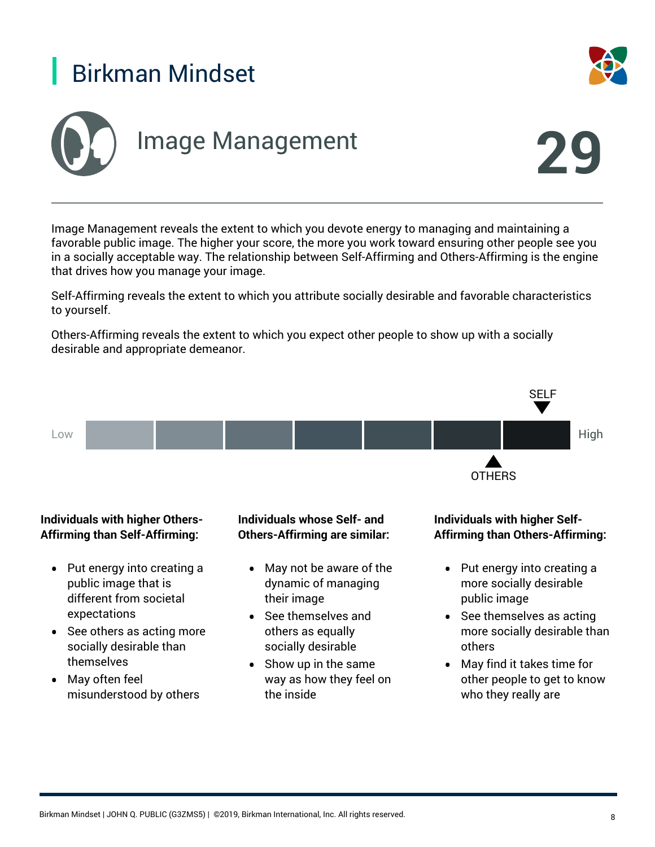





Image Management reveals the extent to which you devote energy to managing and maintaining a favorable public image. The higher your score, the more you work toward ensuring other people see you in a socially acceptable way. The relationship between Self-Affirming and Others-Affirming is the engine that drives how you manage your image.

Self-Affirming reveals the extent to which you attribute socially desirable and favorable characteristics to yourself.

Others-Affirming reveals the extent to which you expect other people to show up with a socially desirable and appropriate demeanor.



Birkman Mindset | JOHN Q. PUBLIC (G3ZMS5) | ©2019, Birkman International, Inc. All rights reserved. 8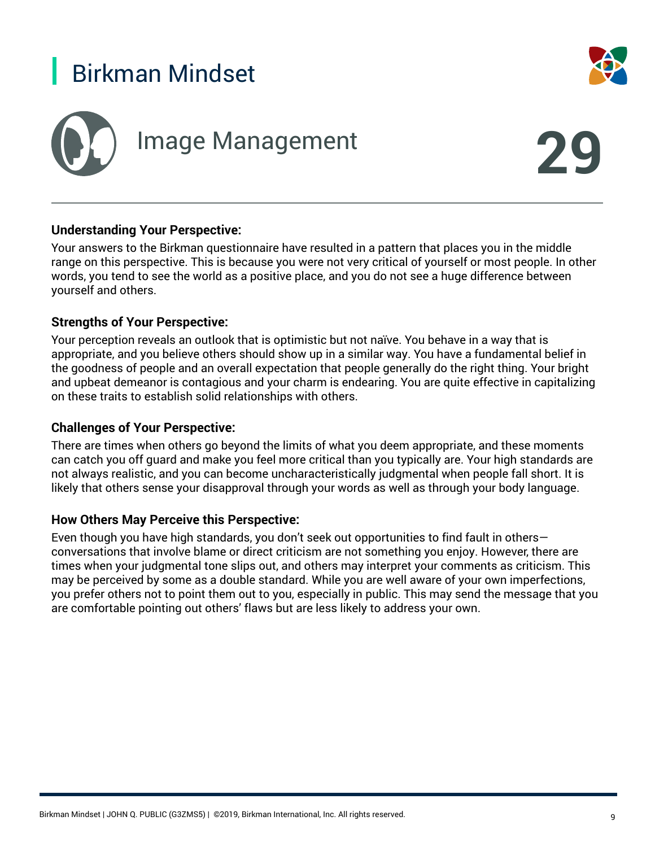





#### **Understanding Your Perspective:**

Your answers to the Birkman questionnaire have resulted in a pattern that places you in the middle range on this perspective. This is because you were not very critical of yourself or most people. In other words, you tend to see the world as a positive place, and you do not see a huge difference between yourself and others.

#### **Strengths of Your Perspective:**

Your perception reveals an outlook that is optimistic but not naïve. You behave in a way that is appropriate, and you believe others should show up in a similar way. You have a fundamental belief in the goodness of people and an overall expectation that people generally do the right thing. Your bright and upbeat demeanor is contagious and your charm is endearing. You are quite effective in capitalizing on these traits to establish solid relationships with others.

#### **Challenges of Your Perspective:**

There are times when others go beyond the limits of what you deem appropriate, and these moments can catch you off guard and make you feel more critical than you typically are. Your high standards are not always realistic, and you can become uncharacteristically judgmental when people fall short. It is likely that others sense your disapproval through your words as well as through your body language.

#### **How Others May Perceive this Perspective:**

Even though you have high standards, you don't seek out opportunities to find fault in others conversations that involve blame or direct criticism are not something you enjoy. However, there are times when your judgmental tone slips out, and others may interpret your comments as criticism. This may be perceived by some as a double standard. While you are well aware of your own imperfections, you prefer others not to point them out to you, especially in public. This may send the message that you are comfortable pointing out others' flaws but are less likely to address your own.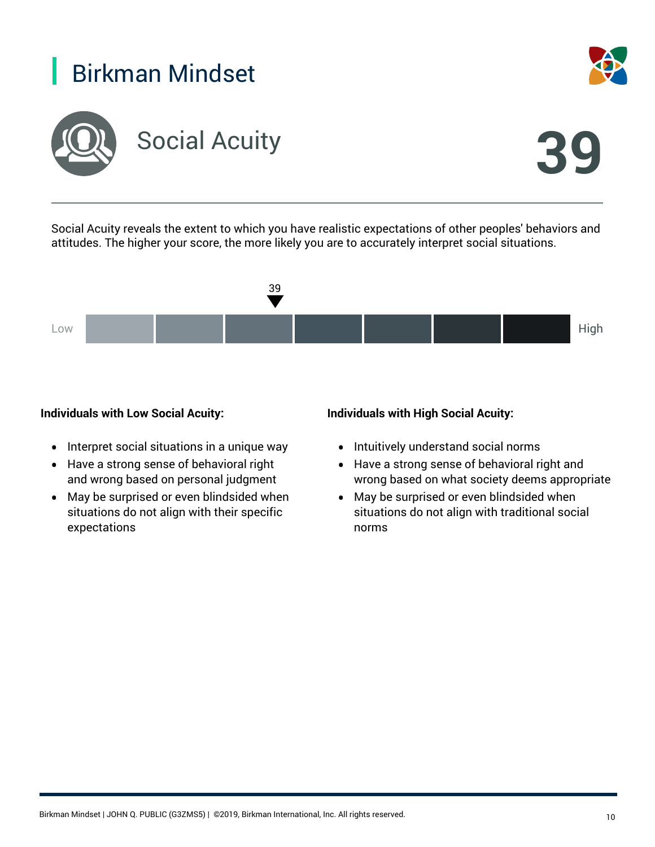



Social Acuity reveals the extent to which you have realistic expectations of other peoples' behaviors and attitudes. The higher your score, the more likely you are to accurately interpret social situations.



#### **Individuals with Low Social Acuity:**

- Interpret social situations in a unique way
- Have a strong sense of behavioral right and wrong based on personal judgment
- May be surprised or even blindsided when situations do not align with their specific expectations

#### **Individuals with High Social Acuity:**

- Intuitively understand social norms
- Have a strong sense of behavioral right and wrong based on what society deems appropriate
- May be surprised or even blindsided when situations do not align with traditional social norms